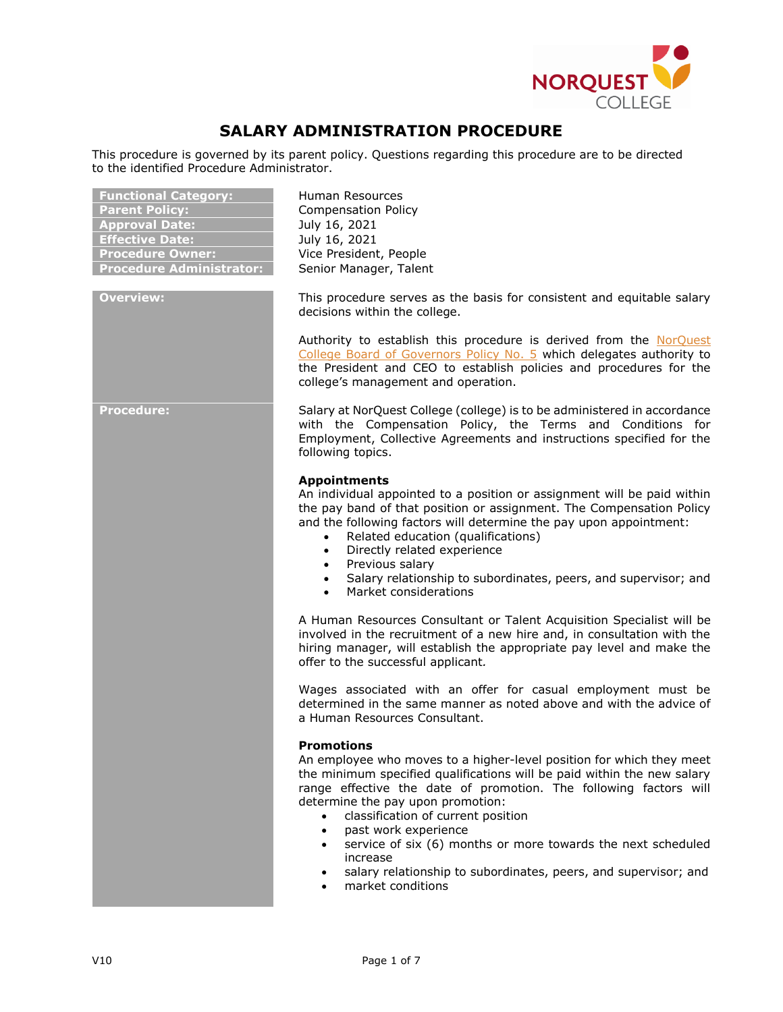

# **SALARY ADMINISTRATION PROCEDURE**

This procedure is governed by its parent policy. Questions regarding this procedure are to be directed to the identified Procedure Administrator.

| <b>Functional Category:</b>     |
|---------------------------------|
| <b>Parent Policy:</b>           |
| <b>Approval Date:</b>           |
| <b>Effective Date:</b>          |
| <b>Procedure Owner:</b>         |
| <b>Procedure Administrator:</b> |

**Functional Category:** Human Resources **Parent Policy:** Compensation Policy **Approval Date:** July 16, 2021 **Effective Date:** July 16, 2021 **Vice President, People Senior Manager, Talent** 

**Overview:** This procedure serves as the basis for consistent and equitable salary decisions within the college.

> Authority to establish this procedure is derived from the [NorQuest](https://www.norquest.ca/NorquestCollege/media/pdf/about-us/board/policies-procedures/05-Board-Policy_Delegate_authority_to_President.pdf)  [College Board of Governors Policy No. 5](https://www.norquest.ca/NorquestCollege/media/pdf/about-us/board/policies-procedures/05-Board-Policy_Delegate_authority_to_President.pdf) which delegates authority to the President and CEO to establish policies and procedures for the college's management and operation.

**Procedure:** Salary at NorQuest College (college) is to be administered in accordance with the Compensation Policy, the Terms and Conditions for Employment, Collective Agreements and instructions specified for the following topics.

#### **Appointments**

An individual appointed to a position or assignment will be paid within the pay band of that position or assignment. The Compensation Policy and the following factors will determine the pay upon appointment:

- Related education (qualifications)
- Directly related experience
- Previous salary
- Salary relationship to subordinates, peers, and supervisor; and
	- Market considerations

A Human Resources Consultant or Talent Acquisition Specialist will be involved in the recruitment of a new hire and, in consultation with the hiring manager, will establish the appropriate pay level and make the offer to the successful applicant*.*

Wages associated with an offer for casual employment must be determined in the same manner as noted above and with the advice of a Human Resources Consultant.

#### **Promotions**

An employee who moves to a higher-level position for which they meet the minimum specified qualifications will be paid within the new salary range effective the date of promotion. The following factors will determine the pay upon promotion:

- classification of current position
- past work experience
- service of six (6) months or more towards the next scheduled increase
- salary relationship to subordinates, peers, and supervisor; and
- market conditions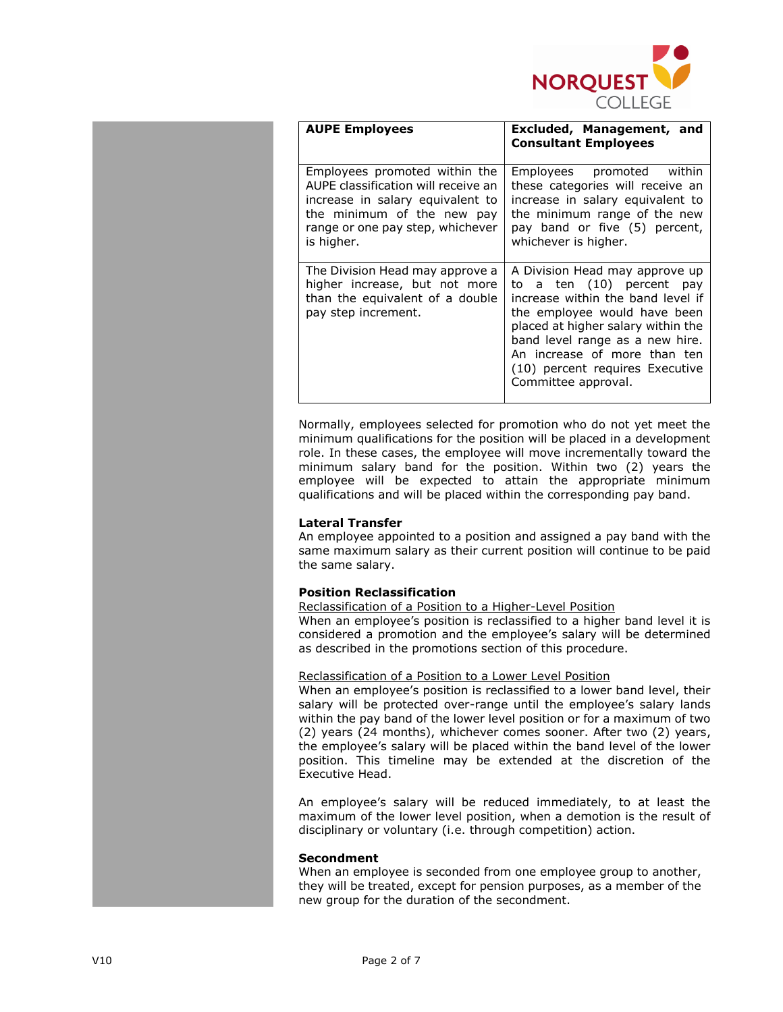

|  | <b>AUPE Employees</b>                                                                                                                                                                    | Excluded, Management, and<br><b>Consultant Employees</b>                                                                                                                                                                                                                                               |  |  |
|--|------------------------------------------------------------------------------------------------------------------------------------------------------------------------------------------|--------------------------------------------------------------------------------------------------------------------------------------------------------------------------------------------------------------------------------------------------------------------------------------------------------|--|--|
|  | Employees promoted within the<br>AUPE classification will receive an<br>increase in salary equivalent to<br>the minimum of the new pay<br>range or one pay step, whichever<br>is higher. | Employees promoted within<br>these categories will receive an<br>increase in salary equivalent to<br>the minimum range of the new<br>pay band or five (5) percent,<br>whichever is higher.                                                                                                             |  |  |
|  | The Division Head may approve a<br>higher increase, but not more<br>than the equivalent of a double<br>pay step increment.                                                               | A Division Head may approve up<br>a ten (10) percent pay<br>to<br>increase within the band level if<br>the employee would have been<br>placed at higher salary within the<br>band level range as a new hire.<br>An increase of more than ten<br>(10) percent requires Executive<br>Committee approval. |  |  |

Normally, employees selected for promotion who do not yet meet the minimum qualifications for the position will be placed in a development role. In these cases, the employee will move incrementally toward the minimum salary band for the position. Within two (2) years the employee will be expected to attain the appropriate minimum qualifications and will be placed within the corresponding pay band.

## **Lateral Transfer**

An employee appointed to a position and assigned a pay band with the same maximum salary as their current position will continue to be paid the same salary.

## **Position Reclassification**

## Reclassification of a Position to a Higher-Level Position

When an employee's position is reclassified to a higher band level it is considered a promotion and the employee's salary will be determined as described in the promotions section of this procedure.

## Reclassification of a Position to a Lower Level Position

When an employee's position is reclassified to a lower band level, their salary will be protected over-range until the employee's salary lands within the pay band of the lower level position or for a maximum of two (2) years (24 months), whichever comes sooner. After two (2) years, the employee's salary will be placed within the band level of the lower position. This timeline may be extended at the discretion of the Executive Head.

An employee's salary will be reduced immediately, to at least the maximum of the lower level position, when a demotion is the result of disciplinary or voluntary (i.e. through competition) action.

#### **Secondment**

When an employee is seconded from one employee group to another, they will be treated, except for pension purposes, as a member of the new group for the duration of the secondment.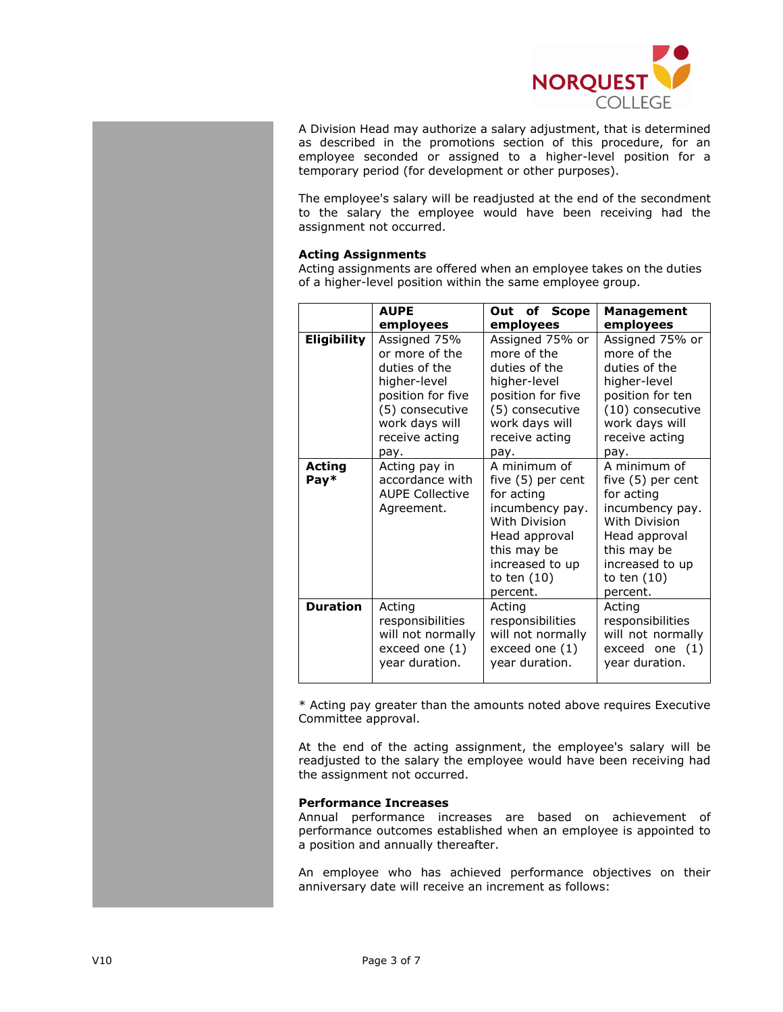

A Division Head may authorize a salary adjustment, that is determined as described in the promotions section of this procedure, for an employee seconded or assigned to a higher-level position for a temporary period (for development or other purposes).

The employee's salary will be readjusted at the end of the secondment to the salary the employee would have been receiving had the assignment not occurred.

#### **Acting Assignments**

Acting assignments are offered when an employee takes on the duties of a higher-level position within the same employee group.

|                  | <b>AUPE</b>                                                              | Out of Scope                                                                                                                                                        | Management                                                                                                                                                          |
|------------------|--------------------------------------------------------------------------|---------------------------------------------------------------------------------------------------------------------------------------------------------------------|---------------------------------------------------------------------------------------------------------------------------------------------------------------------|
|                  | employees                                                                | employees                                                                                                                                                           | employees                                                                                                                                                           |
| Eligibility      | Assigned 75%                                                             | Assigned 75% or                                                                                                                                                     | Assigned 75% or                                                                                                                                                     |
|                  | or more of the                                                           | more of the                                                                                                                                                         | more of the                                                                                                                                                         |
|                  | duties of the                                                            | duties of the                                                                                                                                                       | duties of the                                                                                                                                                       |
|                  | higher-level                                                             | higher-level                                                                                                                                                        | higher-level                                                                                                                                                        |
|                  | position for five                                                        | position for five                                                                                                                                                   | position for ten                                                                                                                                                    |
|                  | (5) consecutive                                                          | (5) consecutive                                                                                                                                                     | (10) consecutive                                                                                                                                                    |
|                  | work days will                                                           | work days will                                                                                                                                                      | work days will                                                                                                                                                      |
|                  | receive acting                                                           | receive acting                                                                                                                                                      | receive acting                                                                                                                                                      |
|                  | pay.                                                                     | pay.                                                                                                                                                                | pay.                                                                                                                                                                |
| Acting<br>$Pay*$ | Acting pay in<br>accordance with<br><b>AUPE Collective</b><br>Agreement. | A minimum of<br>five (5) per cent<br>for acting<br>incumbency pay.<br>With Division<br>Head approval<br>this may be<br>increased to up<br>to ten $(10)$<br>percent. | A minimum of<br>five (5) per cent<br>for acting<br>incumbency pay.<br>With Division<br>Head approval<br>this may be<br>increased to up<br>to ten $(10)$<br>percent. |
| <b>Duration</b>  | Acting                                                                   | Acting                                                                                                                                                              | Acting                                                                                                                                                              |
|                  | responsibilities                                                         | responsibilities                                                                                                                                                    | responsibilities                                                                                                                                                    |
|                  | will not normally                                                        | will not normally                                                                                                                                                   | will not normally                                                                                                                                                   |
|                  | exceed one (1)                                                           | exceed one (1)                                                                                                                                                      | exceed one (1)                                                                                                                                                      |
|                  | year duration.                                                           | year duration.                                                                                                                                                      | year duration.                                                                                                                                                      |

\* Acting pay greater than the amounts noted above requires Executive Committee approval.

At the end of the acting assignment, the employee's salary will be readjusted to the salary the employee would have been receiving had the assignment not occurred.

#### **Performance Increases**

Annual performance increases are based on achievement of performance outcomes established when an employee is appointed to a position and annually thereafter.

An employee who has achieved performance objectives on their anniversary date will receive an increment as follows: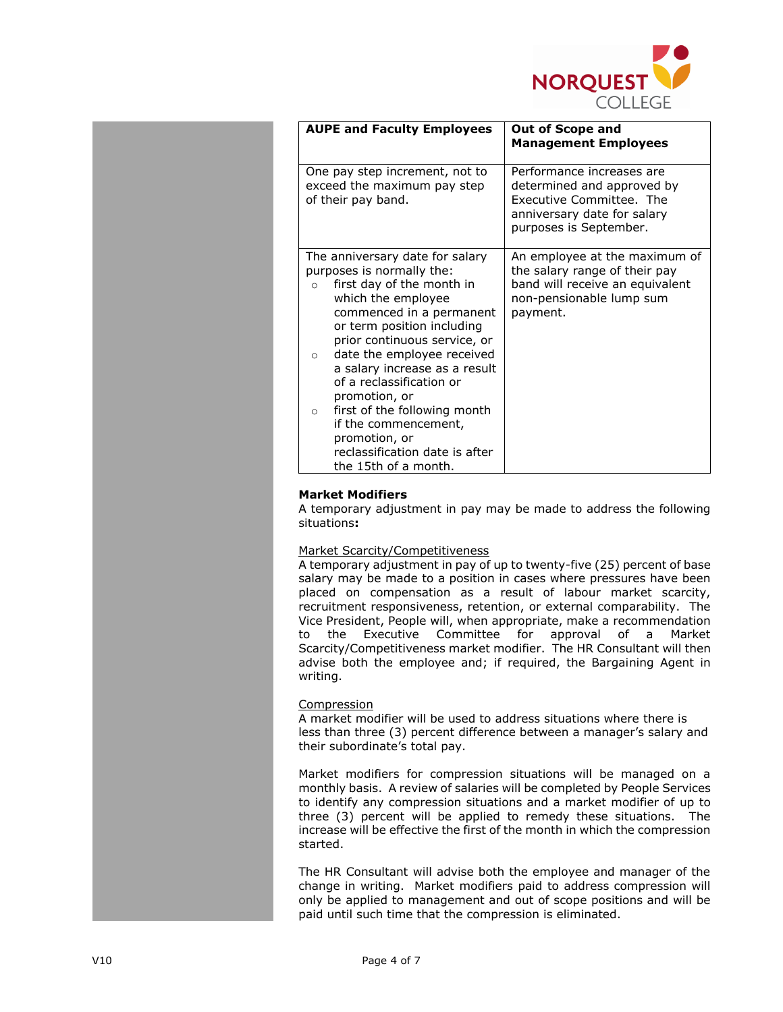

| <b>AUPE and Faculty Employees</b>                                                                                                                                                                                                                                                                                                                                                                                                                                                          | <b>Out of Scope and</b><br><b>Management Employees</b>                                                                                       |  |
|--------------------------------------------------------------------------------------------------------------------------------------------------------------------------------------------------------------------------------------------------------------------------------------------------------------------------------------------------------------------------------------------------------------------------------------------------------------------------------------------|----------------------------------------------------------------------------------------------------------------------------------------------|--|
| One pay step increment, not to<br>exceed the maximum pay step<br>of their pay band.                                                                                                                                                                                                                                                                                                                                                                                                        | Performance increases are<br>determined and approved by<br>Executive Committee. The<br>anniversary date for salary<br>purposes is September. |  |
| The anniversary date for salary<br>purposes is normally the:<br>first day of the month in<br>$\Omega$<br>which the employee<br>commenced in a permanent<br>or term position including<br>prior continuous service, or<br>date the employee received<br>$\circ$<br>a salary increase as a result<br>of a reclassification or<br>promotion, or<br>first of the following month<br>$\circ$<br>if the commencement,<br>promotion, or<br>reclassification date is after<br>the 15th of a month. | An employee at the maximum of<br>the salary range of their pay<br>band will receive an equivalent<br>non-pensionable lump sum<br>payment.    |  |

## **Market Modifiers**

A temporary adjustment in pay may be made to address the following situations**:**

## Market Scarcity/Competitiveness

A temporary adjustment in pay of up to twenty-five (25) percent of base salary may be made to a position in cases where pressures have been placed on compensation as a result of labour market scarcity, recruitment responsiveness, retention, or external comparability. The Vice President, People will, when appropriate, make a recommendation to the Executive Committee for approval of a Market Scarcity/Competitiveness market modifier. The HR Consultant will then advise both the employee and; if required, the Bargaining Agent in writing.

#### Compression

A market modifier will be used to address situations where there is less than three (3) percent difference between a manager's salary and their subordinate's total pay.

Market modifiers for compression situations will be managed on a monthly basis. A review of salaries will be completed by People Services to identify any compression situations and a market modifier of up to three (3) percent will be applied to remedy these situations. The increase will be effective the first of the month in which the compression started.

The HR Consultant will advise both the employee and manager of the change in writing. Market modifiers paid to address compression will only be applied to management and out of scope positions and will be paid until such time that the compression is eliminated.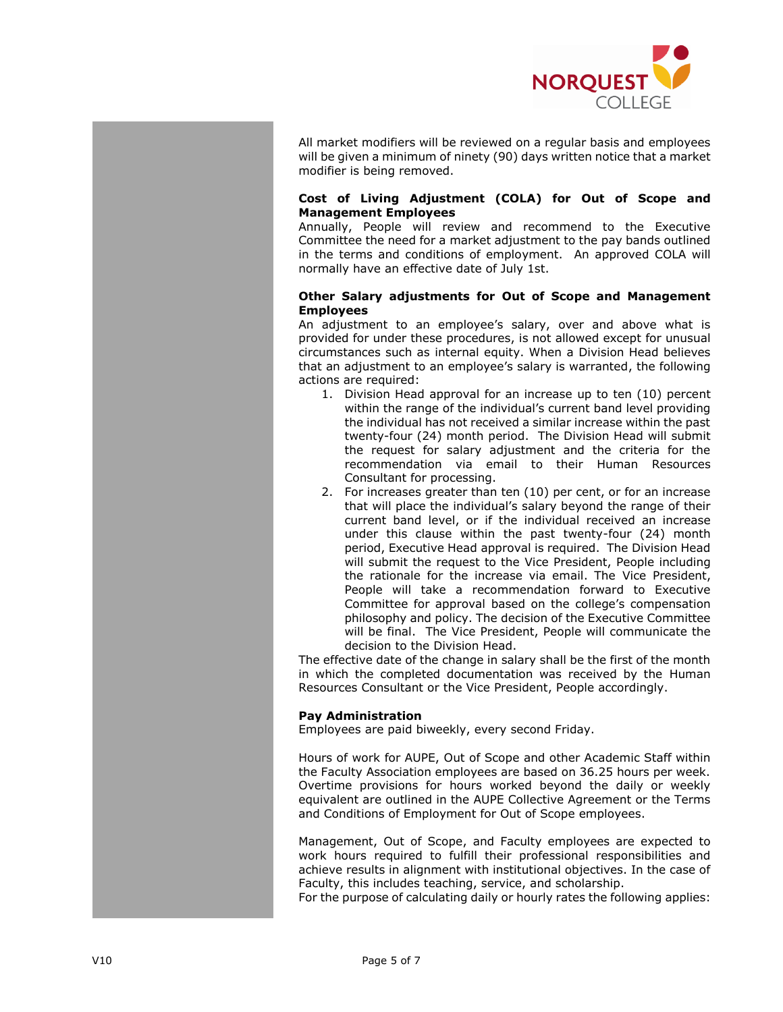

All market modifiers will be reviewed on a regular basis and employees will be given a minimum of ninety (90) days written notice that a market modifier is being removed.

#### **Cost of Living Adjustment (COLA) for Out of Scope and Management Employees**

Annually, People will review and recommend to the Executive Committee the need for a market adjustment to the pay bands outlined in the terms and conditions of employment. An approved COLA will normally have an effective date of July 1st.

#### **Other Salary adjustments for Out of Scope and Management Employees**

An adjustment to an employee's salary, over and above what is provided for under these procedures, is not allowed except for unusual circumstances such as internal equity. When a Division Head believes that an adjustment to an employee's salary is warranted, the following actions are required:

- 1. Division Head approval for an increase up to ten (10) percent within the range of the individual's current band level providing the individual has not received a similar increase within the past twenty-four (24) month period. The Division Head will submit the request for salary adjustment and the criteria for the recommendation via email to their Human Resources Consultant for processing.
- 2. For increases greater than ten (10) per cent, or for an increase that will place the individual's salary beyond the range of their current band level, or if the individual received an increase under this clause within the past twenty-four (24) month period, Executive Head approval is required. The Division Head will submit the request to the Vice President, People including the rationale for the increase via email. The Vice President, People will take a recommendation forward to Executive Committee for approval based on the college's compensation philosophy and policy. The decision of the Executive Committee will be final. The Vice President, People will communicate the decision to the Division Head.

The effective date of the change in salary shall be the first of the month in which the completed documentation was received by the Human Resources Consultant or the Vice President, People accordingly.

## **Pay Administration**

Employees are paid biweekly, every second Friday.

Hours of work for AUPE, Out of Scope and other Academic Staff within the Faculty Association employees are based on 36.25 hours per week. Overtime provisions for hours worked beyond the daily or weekly equivalent are outlined in the AUPE Collective Agreement or the Terms and Conditions of Employment for Out of Scope employees.

Management, Out of Scope, and Faculty employees are expected to work hours required to fulfill their professional responsibilities and achieve results in alignment with institutional objectives. In the case of Faculty, this includes teaching, service, and scholarship.

For the purpose of calculating daily or hourly rates the following applies: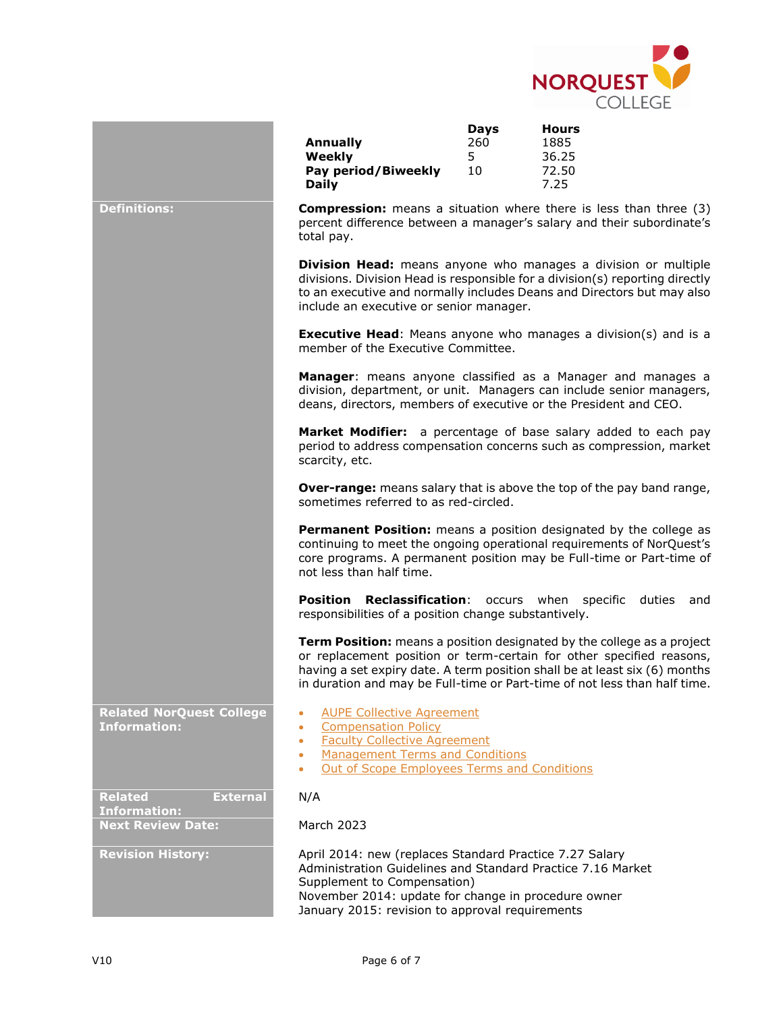

|                                                          | <b>Annually</b><br>Weekly<br>Pay period/Biweekly<br><b>Daily</b>                                                                                                                                                                                                                                          | <b>Days</b><br>260<br>5 <sup>1</sup><br>10 | <b>Hours</b><br>1885<br>36.25<br>72.50<br>7.25                                                                                                                                                                     |  |  |
|----------------------------------------------------------|-----------------------------------------------------------------------------------------------------------------------------------------------------------------------------------------------------------------------------------------------------------------------------------------------------------|--------------------------------------------|--------------------------------------------------------------------------------------------------------------------------------------------------------------------------------------------------------------------|--|--|
| <b>Definitions:</b>                                      | <b>Compression:</b> means a situation where there is less than three (3)<br>percent difference between a manager's salary and their subordinate's<br>total pay.                                                                                                                                           |                                            |                                                                                                                                                                                                                    |  |  |
|                                                          | <b>Division Head:</b> means anyone who manages a division or multiple<br>divisions. Division Head is responsible for a division(s) reporting directly<br>to an executive and normally includes Deans and Directors but may also<br>include an executive or senior manager.                                |                                            |                                                                                                                                                                                                                    |  |  |
|                                                          | <b>Executive Head:</b> Means anyone who manages a division(s) and is a<br>member of the Executive Committee.                                                                                                                                                                                              |                                            |                                                                                                                                                                                                                    |  |  |
|                                                          | <b>Manager:</b> means anyone classified as a Manager and manages a<br>division, department, or unit. Managers can include senior managers,<br>deans, directors, members of executive or the President and CEO.                                                                                            |                                            |                                                                                                                                                                                                                    |  |  |
|                                                          | Market Modifier: a percentage of base salary added to each pay<br>period to address compensation concerns such as compression, market<br>scarcity, etc.                                                                                                                                                   |                                            |                                                                                                                                                                                                                    |  |  |
|                                                          | sometimes referred to as red-circled.                                                                                                                                                                                                                                                                     |                                            | <b>Over-range:</b> means salary that is above the top of the pay band range,                                                                                                                                       |  |  |
|                                                          | not less than half time.                                                                                                                                                                                                                                                                                  |                                            | Permanent Position: means a position designated by the college as<br>continuing to meet the ongoing operational requirements of NorQuest's<br>core programs. A permanent position may be Full-time or Part-time of |  |  |
|                                                          | <b>Position</b><br><b>Reclassification:</b> occurs when specific<br>duties<br>and<br>responsibilities of a position change substantively.                                                                                                                                                                 |                                            |                                                                                                                                                                                                                    |  |  |
|                                                          | Term Position: means a position designated by the college as a project<br>or replacement position or term-certain for other specified reasons,<br>having a set expiry date. A term position shall be at least six (6) months<br>in duration and may be Full-time or Part-time of not less than half time. |                                            |                                                                                                                                                                                                                    |  |  |
| <b>Related NorQuest College</b><br><b>Information:</b>   | <b>AUPE Collective Agreement</b><br>٠<br><b>Compensation Policy</b><br>۰<br><b>Faculty Collective Agreement</b><br>۰<br><b>Management Terms and Conditions</b><br>۰<br>Out of Scope Employees Terms and Conditions<br>٠                                                                                   |                                            |                                                                                                                                                                                                                    |  |  |
| <b>Related</b><br><b>External</b><br><b>Information:</b> | N/A                                                                                                                                                                                                                                                                                                       |                                            |                                                                                                                                                                                                                    |  |  |
| <b>Next Review Date:</b>                                 | March 2023                                                                                                                                                                                                                                                                                                |                                            |                                                                                                                                                                                                                    |  |  |
| <b>Revision History:</b>                                 | April 2014: new (replaces Standard Practice 7.27 Salary<br>Administration Guidelines and Standard Practice 7.16 Market<br>Supplement to Compensation)<br>November 2014: update for change in procedure owner<br>January 2015: revision to approval requirements                                           |                                            |                                                                                                                                                                                                                    |  |  |